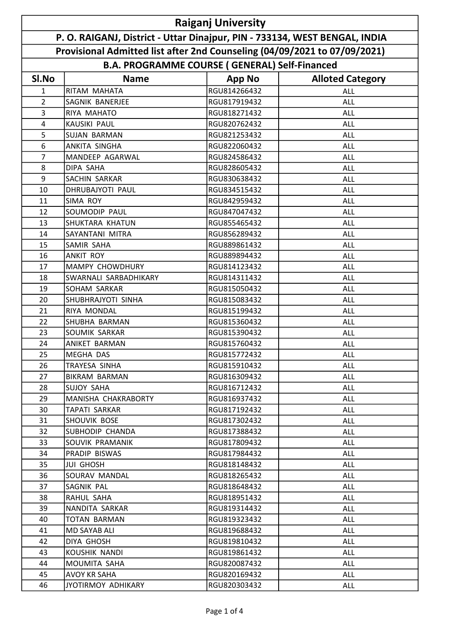|                                                                            | <b>Raiganj University</b> |                                                      |                         |  |  |  |  |
|----------------------------------------------------------------------------|---------------------------|------------------------------------------------------|-------------------------|--|--|--|--|
| P. O. RAIGANJ, District - Uttar Dinajpur, PIN - 733134, WEST BENGAL, INDIA |                           |                                                      |                         |  |  |  |  |
| Provisional Admitted list after 2nd Counseling (04/09/2021 to 07/09/2021)  |                           |                                                      |                         |  |  |  |  |
|                                                                            |                           | <b>B.A. PROGRAMME COURSE (GENERAL) Self-Financed</b> |                         |  |  |  |  |
| SI.No                                                                      | <b>Name</b>               | <b>App No</b>                                        | <b>Alloted Category</b> |  |  |  |  |
| $\mathbf{1}$                                                               | RITAM MAHATA              | RGU814266432                                         | ALL                     |  |  |  |  |
| $\overline{2}$                                                             | SAGNIK BANERJEE           | RGU817919432                                         | ALL                     |  |  |  |  |
| 3                                                                          | RIYA MAHATO               | RGU818271432                                         | ALL                     |  |  |  |  |
| $\overline{4}$                                                             | KAUSIKI PAUL              | RGU820762432                                         | <b>ALL</b>              |  |  |  |  |
| 5                                                                          | <b>SUJAN BARMAN</b>       | RGU821253432                                         | ALL                     |  |  |  |  |
| 6                                                                          | <b>ANKITA SINGHA</b>      | RGU822060432                                         | <b>ALL</b>              |  |  |  |  |
| $\overline{7}$                                                             | MANDEEP AGARWAL           | RGU824586432                                         | <b>ALL</b>              |  |  |  |  |
| 8                                                                          | DIPA SAHA                 | RGU828605432                                         | ALL                     |  |  |  |  |
| 9                                                                          | <b>SACHIN SARKAR</b>      | RGU830638432                                         | <b>ALL</b>              |  |  |  |  |
| 10                                                                         | <b>DHRUBAJYOTI PAUL</b>   | RGU834515432                                         | <b>ALL</b>              |  |  |  |  |
| 11                                                                         | <b>SIMA ROY</b>           | RGU842959432                                         | <b>ALL</b>              |  |  |  |  |
| 12                                                                         | SOUMODIP PAUL             | RGU847047432                                         | ALL                     |  |  |  |  |
| 13                                                                         | <b>SHUKTARA KHATUN</b>    | RGU855465432                                         | ALL                     |  |  |  |  |
| 14                                                                         | SAYANTANI MITRA           | RGU856289432                                         | <b>ALL</b>              |  |  |  |  |
| 15                                                                         | SAMIR SAHA                | RGU889861432                                         | ALL                     |  |  |  |  |
| 16                                                                         | <b>ANKIT ROY</b>          | RGU889894432                                         | ALL                     |  |  |  |  |
| 17                                                                         | <b>MAMPY CHOWDHURY</b>    | RGU814123432                                         | ALL                     |  |  |  |  |
| 18                                                                         | SWARNALI SARBADHIKARY     | RGU814311432                                         | ALL                     |  |  |  |  |
| 19                                                                         | SOHAM SARKAR              | RGU815050432                                         | ALL                     |  |  |  |  |
| 20                                                                         | SHUBHRAJYOTI SINHA        | RGU815083432                                         | ALL                     |  |  |  |  |
| 21                                                                         | RIYA MONDAL               | RGU815199432                                         | <b>ALL</b>              |  |  |  |  |
| 22                                                                         | SHUBHA BARMAN             | RGU815360432                                         | ALL                     |  |  |  |  |
| 23                                                                         | <b>SOUMIK SARKAR</b>      | RGU815390432                                         | <b>ALL</b>              |  |  |  |  |
| 24                                                                         | ANIKET BARMAN             | RGU815760432                                         | ALL                     |  |  |  |  |
| 25                                                                         | MEGHA DAS                 | RGU815772432                                         | ALL                     |  |  |  |  |
| 26                                                                         | TRAYESA SINHA             | RGU815910432                                         | <b>ALL</b>              |  |  |  |  |
| 27                                                                         | <b>BIKRAM BARMAN</b>      | RGU816309432                                         | ALL                     |  |  |  |  |
| 28                                                                         | <b>SUJOY SAHA</b>         | RGU816712432                                         | ALL                     |  |  |  |  |
| 29                                                                         | MANISHA CHAKRABORTY       | RGU816937432                                         | <b>ALL</b>              |  |  |  |  |
| 30                                                                         | <b>TAPATI SARKAR</b>      | RGU817192432                                         | ALL                     |  |  |  |  |
| 31                                                                         | SHOUVIK BOSE              | RGU817302432                                         | ALL                     |  |  |  |  |
| 32                                                                         | SUBHODIP CHANDA           | RGU817388432                                         | ALL                     |  |  |  |  |
| 33                                                                         | SOUVIK PRAMANIK           | RGU817809432                                         | ALL                     |  |  |  |  |
| 34                                                                         | PRADIP BISWAS             | RGU817984432                                         | ALL                     |  |  |  |  |
| 35                                                                         | JUI GHOSH                 | RGU818148432                                         | ALL                     |  |  |  |  |
| 36                                                                         | SOURAV MANDAL             | RGU818265432                                         | <b>ALL</b>              |  |  |  |  |
| 37                                                                         | SAGNIK PAL                | RGU818648432                                         | ALL                     |  |  |  |  |
| 38                                                                         | RAHUL SAHA                | RGU818951432                                         | ALL                     |  |  |  |  |
| 39                                                                         | NANDITA SARKAR            | RGU819314432                                         | <b>ALL</b>              |  |  |  |  |
| 40                                                                         | TOTAN BARMAN              | RGU819323432                                         | <b>ALL</b>              |  |  |  |  |
| 41                                                                         | MD SAYAB ALI              | RGU819688432                                         | ALL                     |  |  |  |  |
| 42                                                                         | DIYA GHOSH                | RGU819810432                                         | ALL                     |  |  |  |  |
| 43                                                                         | KOUSHIK NANDI             | RGU819861432                                         | ALL                     |  |  |  |  |
| 44                                                                         | MOUMITA SAHA              | RGU820087432                                         | ALL                     |  |  |  |  |
| 45                                                                         | <b>AVOY KR SAHA</b>       | RGU820169432                                         | ALL                     |  |  |  |  |
| 46                                                                         | JYOTIRMOY ADHIKARY        | RGU820303432                                         | ALL                     |  |  |  |  |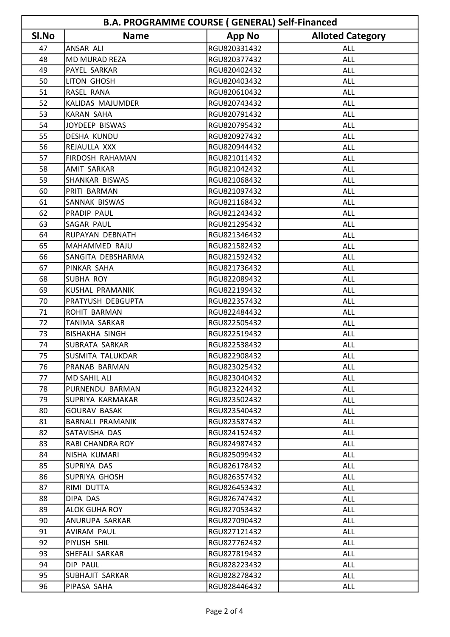| <b>B.A. PROGRAMME COURSE (GENERAL) Self-Financed</b> |                          |               |                         |  |  |
|------------------------------------------------------|--------------------------|---------------|-------------------------|--|--|
| SI.No                                                | <b>Name</b>              | <b>App No</b> | <b>Alloted Category</b> |  |  |
| 47                                                   | ANSAR ALI                | RGU820331432  | <b>ALL</b>              |  |  |
| 48                                                   | <b>MD MURAD REZA</b>     | RGU820377432  | <b>ALL</b>              |  |  |
| 49                                                   | PAYEL SARKAR             | RGU820402432  | <b>ALL</b>              |  |  |
| 50                                                   | LITON GHOSH              | RGU820403432  | <b>ALL</b>              |  |  |
| 51                                                   | <b>RASEL RANA</b>        | RGU820610432  | <b>ALL</b>              |  |  |
| 52                                                   | KALIDAS MAJUMDER         | RGU820743432  | ALL                     |  |  |
| 53                                                   | <b>KARAN SAHA</b>        | RGU820791432  | <b>ALL</b>              |  |  |
| 54                                                   | JOYDEEP BISWAS           | RGU820795432  | <b>ALL</b>              |  |  |
| 55                                                   | <b>DESHA KUNDU</b>       | RGU820927432  | ALL                     |  |  |
| 56                                                   | REJAULLA XXX             | RGU820944432  | ALL                     |  |  |
| 57                                                   | <b>FIRDOSH RAHAMAN</b>   | RGU821011432  | ALL                     |  |  |
| 58                                                   | AMIT SARKAR              | RGU821042432  | <b>ALL</b>              |  |  |
| 59                                                   | SHANKAR BISWAS           | RGU821068432  | ALL                     |  |  |
| 60                                                   | PRITI BARMAN             | RGU821097432  | ALL                     |  |  |
| 61                                                   | SANNAK BISWAS            | RGU821168432  | <b>ALL</b>              |  |  |
| 62                                                   | PRADIP PAUL              | RGU821243432  | ALL                     |  |  |
| 63                                                   | SAGAR PAUL               | RGU821295432  | ALL                     |  |  |
| 64                                                   | RUPAYAN DEBNATH          | RGU821346432  | <b>ALL</b>              |  |  |
| 65                                                   | MAHAMMED RAJU            | RGU821582432  | <b>ALL</b>              |  |  |
| 66                                                   | SANGITA DEBSHARMA        | RGU821592432  | ALL                     |  |  |
| 67                                                   | PINKAR SAHA              | RGU821736432  | ALL                     |  |  |
| 68                                                   | <b>SUBHA ROY</b>         | RGU822089432  | <b>ALL</b>              |  |  |
| 69                                                   | KUSHAL PRAMANIK          | RGU822199432  | ALL                     |  |  |
| 70                                                   | <b>PRATYUSH DEBGUPTA</b> | RGU822357432  | ALL                     |  |  |
| 71                                                   | <b>ROHIT BARMAN</b>      | RGU822484432  | <b>ALL</b>              |  |  |
| 72                                                   | TANIMA SARKAR            | RGU822505432  | <b>ALL</b>              |  |  |
| 73                                                   | <b>BISHAKHA SINGH</b>    | RGU822519432  | ALL                     |  |  |
| 74                                                   | <b>SUBRATA SARKAR</b>    | RGU822538432  | ALL                     |  |  |
| 75                                                   | SUSMITA TALUKDAR         | RGU822908432  | <b>ALL</b>              |  |  |
| 76                                                   | PRANAB BARMAN            | RGU823025432  | ALL                     |  |  |
| 77                                                   | <b>MD SAHIL ALI</b>      | RGU823040432  | ALL                     |  |  |
| 78                                                   | PURNENDU BARMAN          | RGU823224432  | ALL                     |  |  |
| 79                                                   | SUPRIYA KARMAKAR         | RGU823502432  | ALL                     |  |  |
| 80                                                   | <b>GOURAV BASAK</b>      | RGU823540432  | ALL                     |  |  |
| 81                                                   | <b>BARNALI PRAMANIK</b>  | RGU823587432  | ALL                     |  |  |
| 82                                                   | SATAVISHA DAS            | RGU824152432  | ALL                     |  |  |
| 83                                                   | RABI CHANDRA ROY         | RGU824987432  | ALL                     |  |  |
| 84                                                   | NISHA KUMARI             | RGU825099432  | ALL                     |  |  |
| 85                                                   | SUPRIYA DAS              | RGU826178432  | ALL                     |  |  |
| 86                                                   | <b>SUPRIYA GHOSH</b>     | RGU826357432  | ALL                     |  |  |
| 87                                                   | RIMI DUTTA               | RGU826453432  | ALL                     |  |  |
| 88                                                   | DIPA DAS                 | RGU826747432  | ALL                     |  |  |
| 89                                                   | <b>ALOK GUHA ROY</b>     | RGU827053432  | ALL                     |  |  |
| 90                                                   | ANURUPA SARKAR           | RGU827090432  | ALL                     |  |  |
| 91                                                   | <b>AVIRAM PAUL</b>       | RGU827121432  | ALL                     |  |  |
| 92                                                   | PIYUSH SHIL              | RGU827762432  | <b>ALL</b>              |  |  |
| 93                                                   | SHEFALI SARKAR           | RGU827819432  | ALL                     |  |  |
| 94                                                   | DIP PAUL                 | RGU828223432  | ALL                     |  |  |
| 95                                                   | SUBHAJIT SARKAR          | RGU828278432  | ALL                     |  |  |
| 96                                                   | PIPASA SAHA              | RGU828446432  | ALL                     |  |  |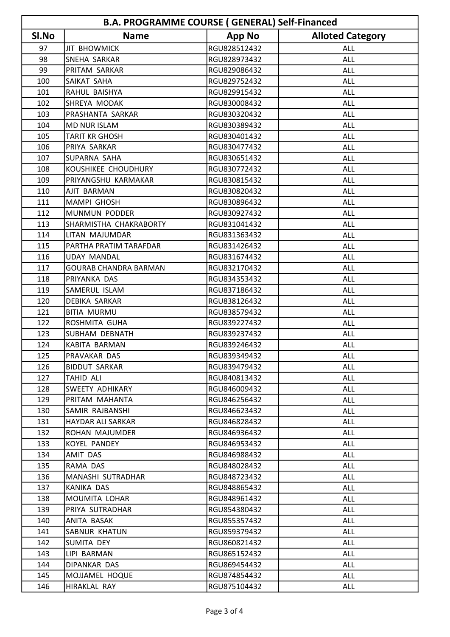| <b>B.A. PROGRAMME COURSE (GENERAL) Self-Financed</b> |                              |               |                         |  |  |
|------------------------------------------------------|------------------------------|---------------|-------------------------|--|--|
| SI.No                                                | <b>Name</b>                  | <b>App No</b> | <b>Alloted Category</b> |  |  |
| 97                                                   | <b>JIT BHOWMICK</b>          | RGU828512432  | ALL                     |  |  |
| 98                                                   | SNEHA SARKAR                 | RGU828973432  | <b>ALL</b>              |  |  |
| 99                                                   | PRITAM SARKAR                | RGU829086432  | <b>ALL</b>              |  |  |
| 100                                                  | SAIKAT SAHA                  | RGU829752432  | <b>ALL</b>              |  |  |
| 101                                                  | RAHUL BAISHYA                | RGU829915432  | <b>ALL</b>              |  |  |
| 102                                                  | SHREYA MODAK                 | RGU830008432  | <b>ALL</b>              |  |  |
| 103                                                  | PRASHANTA SARKAR             | RGU830320432  | <b>ALL</b>              |  |  |
| 104                                                  | <b>MD NUR ISLAM</b>          | RGU830389432  | <b>ALL</b>              |  |  |
| 105                                                  | <b>TARIT KR GHOSH</b>        | RGU830401432  | <b>ALL</b>              |  |  |
| 106                                                  | PRIYA SARKAR                 | RGU830477432  | <b>ALL</b>              |  |  |
| 107                                                  | SUPARNA SAHA                 | RGU830651432  | <b>ALL</b>              |  |  |
| 108                                                  | KOUSHIKEE CHOUDHURY          | RGU830772432  | <b>ALL</b>              |  |  |
| 109                                                  | PRIYANGSHU KARMAKAR          | RGU830815432  | <b>ALL</b>              |  |  |
| 110                                                  | <b>AJIT BARMAN</b>           | RGU830820432  | <b>ALL</b>              |  |  |
| 111                                                  | <b>MAMPI GHOSH</b>           | RGU830896432  | <b>ALL</b>              |  |  |
| 112                                                  | MUNMUN PODDER                | RGU830927432  | ALL                     |  |  |
| 113                                                  | SHARMISTHA CHAKRABORTY       | RGU831041432  | <b>ALL</b>              |  |  |
| 114                                                  | LITAN MAJUMDAR               | RGU831363432  | <b>ALL</b>              |  |  |
| 115                                                  | PARTHA PRATIM TARAFDAR       | RGU831426432  | ALL                     |  |  |
| 116                                                  | <b>UDAY MANDAL</b>           | RGU831674432  | <b>ALL</b>              |  |  |
| 117                                                  | <b>GOURAB CHANDRA BARMAN</b> | RGU832170432  | <b>ALL</b>              |  |  |
| 118                                                  | PRIYANKA DAS                 | RGU834353432  | <b>ALL</b>              |  |  |
| 119                                                  | SAMERUL ISLAM                | RGU837186432  | <b>ALL</b>              |  |  |
| 120                                                  | <b>DEBIKA SARKAR</b>         | RGU838126432  | <b>ALL</b>              |  |  |
| 121                                                  | <b>BITIA MURMU</b>           | RGU838579432  | <b>ALL</b>              |  |  |
| 122                                                  | ROSHMITA GUHA                | RGU839227432  | <b>ALL</b>              |  |  |
| 123                                                  | <b>SUBHAM DEBNATH</b>        | RGU839237432  | ALL                     |  |  |
| 124                                                  | KABITA BARMAN                | RGU839246432  | <b>ALL</b>              |  |  |
| 125                                                  | PRAVAKAR DAS                 | RGU839349432  | <b>ALL</b>              |  |  |
| 126                                                  | <b>BIDDUT SARKAR</b>         | RGU839479432  | ALL                     |  |  |
| 127                                                  | <b>TAHID ALI</b>             | RGU840813432  | ALL                     |  |  |
| 128                                                  | <b>SWEETY ADHIKARY</b>       | RGU846009432  | ALL                     |  |  |
| 129                                                  | PRITAM MAHANTA               | RGU846256432  | ALL                     |  |  |
| 130                                                  | SAMIR RAJBANSHI              | RGU846623432  | ALL                     |  |  |
| 131                                                  | HAYDAR ALI SARKAR            | RGU846828432  | ALL                     |  |  |
| 132                                                  | ROHAN MAJUMDER               | RGU846936432  | ALL                     |  |  |
| 133                                                  | KOYEL PANDEY                 | RGU846953432  | ALL                     |  |  |
| 134                                                  | <b>AMIT DAS</b>              | RGU846988432  | ALL                     |  |  |
| 135                                                  | RAMA DAS                     | RGU848028432  | ALL                     |  |  |
| 136                                                  | MANASHI SUTRADHAR            | RGU848723432  | ALL                     |  |  |
| 137                                                  | KANIKA DAS                   | RGU848865432  | ALL                     |  |  |
| 138                                                  | MOUMITA LOHAR                | RGU848961432  | ALL                     |  |  |
| 139                                                  | PRIYA SUTRADHAR              | RGU854380432  | ALL                     |  |  |
| 140                                                  | ANITA BASAK                  | RGU855357432  | ALL                     |  |  |
| 141                                                  | <b>SABNUR KHATUN</b>         | RGU859379432  | <b>ALL</b>              |  |  |
| 142                                                  | SUMITA DEY                   | RGU860821432  | ALL                     |  |  |
| 143                                                  | LIPI BARMAN                  | RGU865152432  | ALL                     |  |  |
| 144                                                  | DIPANKAR DAS                 | RGU869454432  | ALL                     |  |  |
| 145                                                  | MOJJAMEL HOQUE               | RGU874854432  | ALL                     |  |  |
| 146                                                  | HIRAKLAL RAY                 | RGU875104432  | ALL                     |  |  |